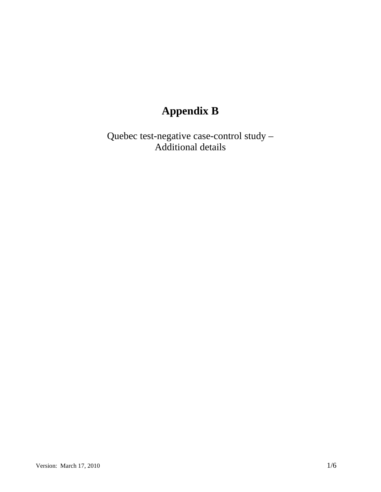# **Appendix B**

Quebec test-negative case-control study – Additional details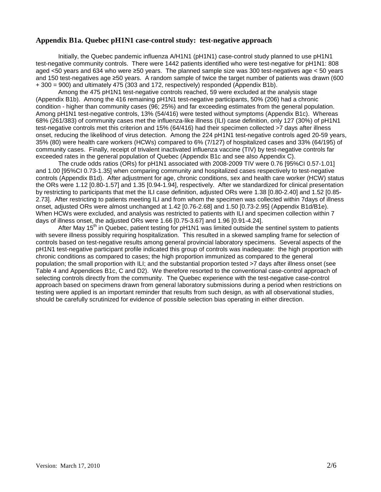#### **Appendix B1a. Quebec pH1N1 case-control study: test-negative approach**

Initially, the Quebec pandemic influenza A/H1N1 (pH1N1) case-control study planned to use pH1N1 test-negative community controls. There were 1442 patients identified who were test-negative for pH1N1: 808 aged <50 years and 634 who were ≥50 years. The planned sample size was 300 test-negatives age < 50 years and 150 test-negatives age ≥50 years. A random sample of twice the target number of patients was drawn (600 + 300 = 900) and ultimately 475 (303 and 172, respectively) responded (Appendix B1b).

Among the 475 pH1N1 test-negative controls reached, 59 were excluded at the analysis stage (Appendix B1b). Among the 416 remaining pH1N1 test-negative participants, 50% (206) had a chronic condition - higher than community cases (96; 25%) and far exceeding estimates from the general population. Among pH1N1 test-negative controls, 13% (54/416) were tested without symptoms (Appendix B1c). Whereas 68% (261/383) of community cases met the influenza-like illness (ILI) case definition, only 127 (30%) of pH1N1 test-negative controls met this criterion and 15% (64/416) had their specimen collected >7 days after illness onset, reducing the likelihood of virus detection. Among the 224 pH1N1 test-negative controls aged 20-59 years, 35% (80) were health care workers (HCWs) compared to 6% (7/127) of hospitalized cases and 33% (64/195) of community cases. Finally, receipt of trivalent inactivated influenza vaccine (TIV) by test-negative controls far exceeded rates in the general population of Quebec (Appendix B1c and see also Appendix C).

The crude odds ratios (ORs) for pH1N1 associated with 2008-2009 TIV were 0.76 [95%CI 0.57-1.01] and 1.00 [95%CI 0.73-1.35] when comparing community and hospitalized cases respectively to test-negative controls (Appendix B1d). After adjustment for age, chronic conditions, sex and health care worker (HCW) status the ORs were 1.12 [0.80-1.57] and 1.35 [0.94-1.94], respectively. After we standardized for clinical presentation by restricting to participants that met the ILI case definition, adjusted ORs were 1.38 [0.80-2.40] and 1.52 [0.85- 2.73]. After restricting to patients meeting ILI and from whom the specimen was collected within 7days of illness onset, adjusted ORs were almost unchanged at 1.42 [0.76-2.68] and 1.50 [0.73-2.95] (Appendix B1d/B1e). When HCWs were excluded, and analysis was restricted to patients with ILI and specimen collection within 7 days of illness onset, the adjusted ORs were 1.66 [0.75-3.67] and 1.96 [0.91-4.24].

After May 15<sup>th</sup> in Quebec, patient testing for pH1N1 was limited outside the sentinel system to patients with severe illness possibly requiring hospitalization. This resulted in a skewed sampling frame for selection of controls based on test-negative results among general provincial laboratory specimens. Several aspects of the pH1N1 test-negative participant profile indicated this group of controls was inadequate: the high proportion with chronic conditions as compared to cases; the high proportion immunized as compared to the general population; the small proportion with ILI; and the substantial proportion tested >7 days after illness onset (see Table 4 and Appendices B1c, C and D2). We therefore resorted to the conventional case-control approach of selecting controls directly from the community. The Quebec experience with the test-negative case-control approach based on specimens drawn from general laboratory submissions during a period when restrictions on testing were applied is an important reminder that results from such design, as with all observational studies, should be carefully scrutinized for evidence of possible selection bias operating in either direction.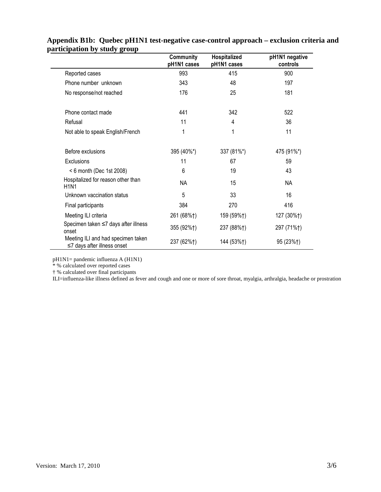|                                                                   | Community<br>pH1N1 cases | Hospitalized<br>pH1N1 cases | pH1N1 negative<br>controls |
|-------------------------------------------------------------------|--------------------------|-----------------------------|----------------------------|
| Reported cases                                                    | 993                      | 415                         | 900                        |
| Phone number unknown                                              | 343                      | 48                          | 197                        |
| No response/not reached                                           | 176                      | 25                          | 181                        |
| Phone contact made                                                | 441                      | 342                         | 522                        |
| Refusal                                                           | 11                       | 4                           | 36                         |
| Not able to speak English/French                                  | 1                        | 1                           | 11                         |
| Before exclusions                                                 | 395 (40%*)               | 337 (81%*)                  | 475 (91%*)                 |
| Exclusions                                                        | 11                       | 67                          | 59                         |
| < 6 month (Dec 1st 2008)                                          | 6                        | 19                          | 43                         |
| Hospitalized for reason other than<br><b>H1N1</b>                 | <b>NA</b>                | 15                          | <b>NA</b>                  |
| Unknown vaccination status                                        | 5                        | 33                          | 16                         |
| Final participants                                                | 384                      | 270                         | 416                        |
| Meeting ILI criteria                                              | 261 (68%†)               | 159 (59%†)                  | 127 (30%†)                 |
| Specimen taken ≤7 days after illness<br>onset                     | 355 (92%†)               | 237 (88%†)                  | 297 (71%†)                 |
| Meeting ILI and had specimen taken<br>≤7 days after illness onset | 237 (62%†)               | 144 (53%†)                  | 95 (23%†)                  |

## **Appendix B1b: Quebec pH1N1 test-negative case-control approach – exclusion criteria and participation by study group**

pH1N1= pandemic influenza A (H1N1)

\* % calculated over reported cases

† % calculated over final participants

ILI=influenza-like illness defined as fever and cough and one or more of sore throat, myalgia, arthralgia, headache or prostration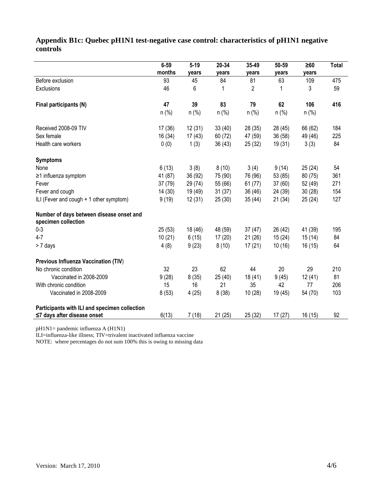## **Appendix B1c: Quebec pH1N1 test-negative case control: characteristics of pH1N1 negative controls**

|                                                                 | $6 - 59$ | $5 - 19$ | 20-34   | 35-49   | 50-59   | $\geq 60$ | <b>Total</b> |
|-----------------------------------------------------------------|----------|----------|---------|---------|---------|-----------|--------------|
|                                                                 | months   | years    | years   | years   | years   | years     |              |
| Before exclusion                                                | 93       | 45       | 84      | 81      | 63      | 109       | 475          |
| Exclusions                                                      | 46       | 6        | 1       | 2       | 1       | 3         | 59           |
| Final participants (N)                                          | 47       | 39       | 83      | 79      | 62      | 106       | 416          |
|                                                                 | $n$ (%)  | $n$ (%)  | $n$ (%) | $n$ (%) | $n$ (%) | $n$ (%)   |              |
| Received 2008-09 TIV                                            | 17(36)   | 12(31)   | 33(40)  | 28(35)  | 28 (45) | 66 (62)   | 184          |
| Sex female                                                      | 16(34)   | 17(43)   | 60 (72) | 47 (59) | 36(58)  | 49 (46)   | 225          |
| Health care workers                                             | 0(0)     | 1(3)     | 36(43)  | 25(32)  | 19(31)  | 3(3)      | 84           |
| <b>Symptoms</b>                                                 |          |          |         |         |         |           |              |
| None                                                            | 6(13)    | 3(8)     | 8(10)   | 3(4)    | 9(14)   | 25(24)    | 54           |
| ≥1 influenza symptom                                            | 41 (87)  | 36 (92)  | 75 (90) | 76 (96) | 53 (85) | 80 (75)   | 361          |
| Fever                                                           | 37(79)   | 29 (74)  | 55 (66) | 61(77)  | 37 (60) | 52 (49)   | 271          |
| Fever and cough                                                 | 14(30)   | 19 (49)  | 31(37)  | 36(46)  | 24 (39) | 30(28)    | 154          |
| ILI (Fever and cough + 1 other symptom)                         | 9(19)    | 12(31)   | 25(30)  | 35(44)  | 21(34)  | 25(24)    | 127          |
| Number of days between disease onset and<br>specimen collection |          |          |         |         |         |           |              |
| $0 - 3$                                                         | 25(53)   | 18 (46)  | 48 (59) | 37(47)  | 26 (42) | 41 (39)   | 195          |
| $4 - 7$                                                         | 10(21)   | 6(15)    | 17(20)  | 21(26)  | 15(24)  | 15(14)    | 84           |
| > 7 days                                                        | 4(8)     | 9(23)    | 8(10)   | 17(21)  | 10(16)  | 16(15)    | 64           |
| Previous Influenza Vaccination (TIV)                            |          |          |         |         |         |           |              |
| No chronic condition                                            | 32       | 23       | 62      | 44      | 20      | 29        | 210          |
| Vaccinated in 2008-2009                                         | 9(28)    | 8(35)    | 25(40)  | 18(41)  | 9(45)   | 12(41)    | 81           |
| With chronic condition                                          | 15       | 16       | 21      | 35      | 42      | 77        | 206          |
| Vaccinated in 2008-2009                                         | 8(53)    | 4(25)    | 8(38)   | 10(28)  | 19 (45) | 54 (70)   | 103          |
| Participants with ILI and specimen collection                   |          |          |         |         |         |           |              |
| $\leq$ 7 days after disease onset                               | 6(13)    | 7(18)    | 21(25)  | 25(32)  | 17(27)  | 16(15)    | 92           |

pH1N1= pandemic influenza A (H1N1)

ILI=influenza-like illness; TIV=trivalent inactivated influenza vaccine

NOTE: where percentages do not sum 100% this is owing to missing data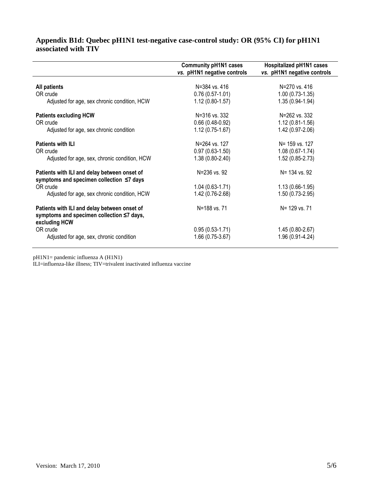#### **Appendix B1d: Quebec pH1N1 test-negative case-control study: OR (95% CI) for pH1N1 associated with TIV**

|                                                                                                            | <b>Community pH1N1 cases</b> | <b>Hospitalized pH1N1 cases</b> |
|------------------------------------------------------------------------------------------------------------|------------------------------|---------------------------------|
|                                                                                                            | vs. pH1N1 negative controls  | vs. pH1N1 negative controls     |
|                                                                                                            |                              |                                 |
| <b>All patients</b>                                                                                        | N=384 vs. 416                | N=270 vs. 416                   |
| OR crude                                                                                                   | $0.76(0.57-1.01)$            | $1.00(0.73-1.35)$               |
| Adjusted for age, sex chronic condition, HCW                                                               | $1.12(0.80-1.57)$            | 1.35 (0.94-1.94)                |
| <b>Patients excluding HCW</b>                                                                              | N=316 vs. 332                | N=262 vs. 332                   |
| OR crude                                                                                                   | $0.66(0.48-0.92)$            | $1.12(0.81 - 1.56)$             |
| Adjusted for age, sex chronic condition                                                                    | $1.12(0.75-1.67)$            | 1.42 (0.97-2.06)                |
| <b>Patients with ILI</b>                                                                                   | N=264 vs. 127                | N= 159 vs. 127                  |
| OR crude                                                                                                   | $0.97(0.63-1.50)$            | $1.08(0.67 - 1.74)$             |
| Adjusted for age, sex, chronic condition, HCW                                                              | $1.38(0.80-2.40)$            | 1.52 (0.85-2.73)                |
| Patients with ILI and delay between onset of<br>symptoms and specimen collection ≤7 days                   | N=236 vs. 92                 | N= 134 vs. 92                   |
| OR crude                                                                                                   | $1.04(0.63-1.71)$            | $1.13(0.66-1.95)$               |
| Adjusted for age, sex chronic condition, HCW                                                               | 1.42 (0.76-2.68)             | $1.50(0.73-2.95)$               |
| Patients with ILI and delay between onset of<br>symptoms and specimen collection ≤7 days,<br>excluding HCW | N=188 vs. 71                 | N= 129 vs. 71                   |
| OR crude                                                                                                   | $0.95(0.53-1.71)$            | 1.45 (0.80-2.67)                |
| Adjusted for age, sex, chronic condition                                                                   | 1.66 (0.75-3.67)             | 1.96 (0.91-4.24)                |

pH1N1= pandemic influenza A (H1N1)

ILI=influenza-like illness; TIV=trivalent inactivated influenza vaccine